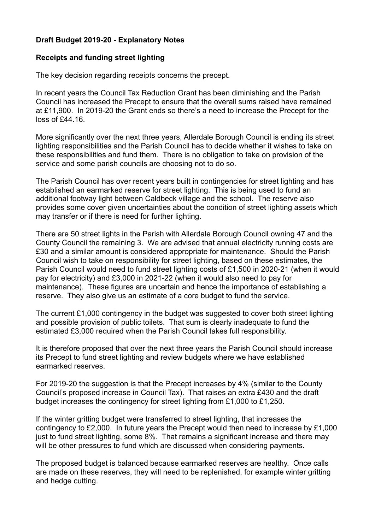## **Draft Budget 2019-20 - Explanatory Notes**

## **Receipts and funding street lighting**

The key decision regarding receipts concerns the precept.

In recent years the Council Tax Reduction Grant has been diminishing and the Parish Council has increased the Precept to ensure that the overall sums raised have remained at £11,900. In 2019-20 the Grant ends so there's a need to increase the Precept for the loss of £44.16.

More significantly over the next three years, Allerdale Borough Council is ending its street lighting responsibilities and the Parish Council has to decide whether it wishes to take on these responsibilities and fund them. There is no obligation to take on provision of the service and some parish councils are choosing not to do so.

The Parish Council has over recent years built in contingencies for street lighting and has established an earmarked reserve for street lighting. This is being used to fund an additional footway light between Caldbeck village and the school. The reserve also provides some cover given uncertainties about the condition of street lighting assets which may transfer or if there is need for further lighting.

There are 50 street lights in the Parish with Allerdale Borough Council owning 47 and the County Council the remaining 3. We are advised that annual electricity running costs are £30 and a similar amount is considered appropriate for maintenance. Should the Parish Council wish to take on responsibility for street lighting, based on these estimates, the Parish Council would need to fund street lighting costs of £1,500 in 2020-21 (when it would pay for electricity) and £3,000 in 2021-22 (when it would also need to pay for maintenance). These figures are uncertain and hence the importance of establishing a reserve. They also give us an estimate of a core budget to fund the service.

The current £1,000 contingency in the budget was suggested to cover both street lighting and possible provision of public toilets. That sum is clearly inadequate to fund the estimated £3,000 required when the Parish Council takes full responsibility.

It is therefore proposed that over the next three years the Parish Council should increase its Precept to fund street lighting and review budgets where we have established earmarked reserves.

For 2019-20 the suggestion is that the Precept increases by 4% (similar to the County Council's proposed increase in Council Tax). That raises an extra £430 and the draft budget increases the contingency for street lighting from £1,000 to £1,250.

If the winter gritting budget were transferred to street lighting, that increases the contingency to £2,000. In future years the Precept would then need to increase by £1,000 just to fund street lighting, some 8%. That remains a significant increase and there may will be other pressures to fund which are discussed when considering payments.

The proposed budget is balanced because earmarked reserves are healthy. Once calls are made on these reserves, they will need to be replenished, for example winter gritting and hedge cutting.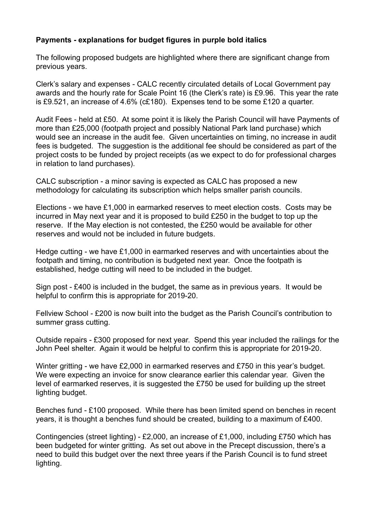## **Payments - explanations for budget figures in purple bold italics**

The following proposed budgets are highlighted where there are significant change from previous years.

Clerk's salary and expenses - CALC recently circulated details of Local Government pay awards and the hourly rate for Scale Point 16 (the Clerk's rate) is £9.96. This year the rate is £9.521, an increase of 4.6% (c£180). Expenses tend to be some £120 a quarter.

Audit Fees - held at £50. At some point it is likely the Parish Council will have Payments of more than £25,000 (footpath project and possibly National Park land purchase) which would see an increase in the audit fee. Given uncertainties on timing, no increase in audit fees is budgeted. The suggestion is the additional fee should be considered as part of the project costs to be funded by project receipts (as we expect to do for professional charges in relation to land purchases).

CALC subscription - a minor saving is expected as CALC has proposed a new methodology for calculating its subscription which helps smaller parish councils.

Elections - we have £1,000 in earmarked reserves to meet election costs. Costs may be incurred in May next year and it is proposed to build £250 in the budget to top up the reserve. If the May election is not contested, the £250 would be available for other reserves and would not be included in future budgets.

Hedge cutting - we have £1,000 in earmarked reserves and with uncertainties about the footpath and timing, no contribution is budgeted next year. Once the footpath is established, hedge cutting will need to be included in the budget.

Sign post - £400 is included in the budget, the same as in previous years. It would be helpful to confirm this is appropriate for 2019-20.

Fellview School - £200 is now built into the budget as the Parish Council's contribution to summer grass cutting.

Outside repairs - £300 proposed for next year. Spend this year included the railings for the John Peel shelter. Again it would be helpful to confirm this is appropriate for 2019-20.

Winter gritting - we have £2,000 in earmarked reserves and £750 in this year's budget. We were expecting an invoice for snow clearance earlier this calendar year. Given the level of earmarked reserves, it is suggested the £750 be used for building up the street lighting budget.

Benches fund - £100 proposed. While there has been limited spend on benches in recent years, it is thought a benches fund should be created, building to a maximum of £400.

Contingencies (street lighting) - £2,000, an increase of £1,000, including £750 which has been budgeted for winter gritting. As set out above in the Precept discussion, there's a need to build this budget over the next three years if the Parish Council is to fund street lighting.